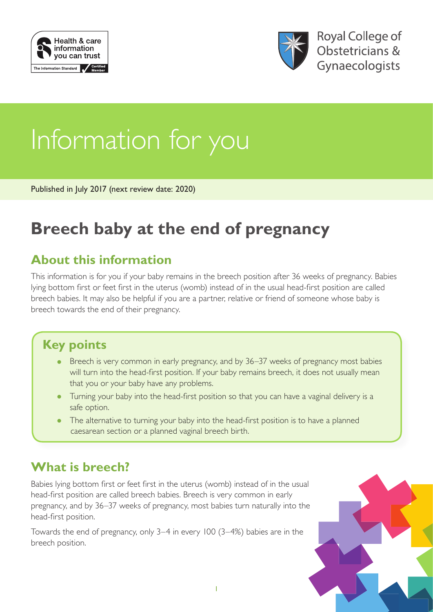



# Information for you

Published in July 2017 (next review date: 2020)

# **Breech baby at the end of pregnancy**

## **About this information**

This information is for you if your baby remains in the breech position after 36 weeks of pregnancy. Babies lying bottom first or feet first in the uterus (womb) instead of in the usual head-first position are called breech babies. It may also be helpful if you are a partner, relative or friend of someone whose baby is breech towards the end of their pregnancy.

## **Key points**

- Breech is very common in early pregnancy, and by 36–37 weeks of pregnancy most babies will turn into the head-first position. If your baby remains breech, it does not usually mean that you or your baby have any problems.
- Turning your baby into the head-first position so that you can have a vaginal delivery is a safe option.
- The alternative to turning your baby into the head-first position is to have a planned caesarean section or a planned vaginal breech birth.

## **What is breech?**

Babies lying bottom first or feet first in the uterus (womb) instead of in the usual head-first position are called breech babies. Breech is very common in early pregnancy, and by 36–37 weeks of pregnancy, most babies turn naturally into the head-first position.

Towards the end of pregnancy, only 3–4 in every 100 (3–4%) babies are in the breech position.

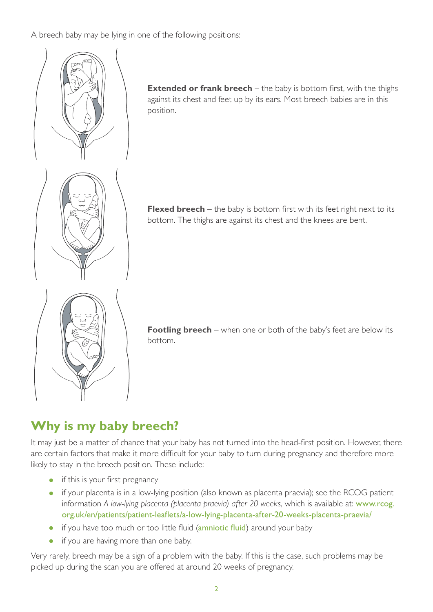A breech baby may be lying in one of the following positions:



**Extended or frank breech** – the baby is bottom first, with the thighs against its chest and feet up by its ears. Most breech babies are in this position.

**Flexed breech** – the baby is bottom first with its feet right next to its bottom. The thighs are against its chest and the knees are bent.



**Footling breech** – when one or both of the baby's feet are below its  $\|\cdot\|$ bottom.

## **Why is my baby breech?**<br> **Why is my baby breech?**

It may just be a matter of chance that your baby has not turned into the head-first position. However, there are certain factors that make it more difficult for your baby to turn during pregnancy and therefore more likely to stay in the breech position. These include:

- if this is your first pregnancy
- if your placenta is in a low-lying position (also known as placenta praevia); see the RCOG patient information *A low-lying placenta (placenta praevia) after 20 weeks*, which is available at: [www.rcog.](https://www.rcog.org.uk/en/patients/patient-leaflets/a-low-lying-placenta-after-20-weeks-placenta-praevia/) [org.uk/en/patients/patient-leaflets/a-low-lying-placenta-after-20-weeks-placenta-praevia/](https://www.rcog.org.uk/en/patients/patient-leaflets/a-low-lying-placenta-after-20-weeks-placenta-praevia/)
- if you have too much or too little fluid (amniotic fluid) around your baby
- $\bullet$  it you are having more • if you are having more than one baby.

Very rarely, breech may be a sign of a problem with the baby. If this is the case, such problems may be picked up during the scen you are offered at around 20 weeks of pregnancy. prefice up during the setting picked up during the scan you are offered at around 20 weeks of pregnancy.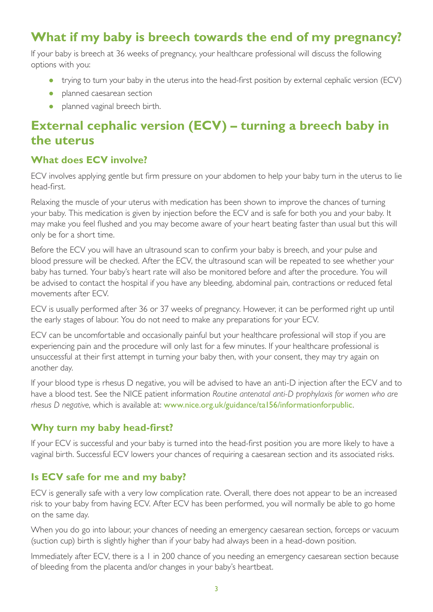## **What if my baby is breech towards the end of my pregnancy?**

If your baby is breech at 36 weeks of pregnancy, your healthcare professional will discuss the following options with you:

- trying to turn your baby in the uterus into the head-first position by external cephalic version (ECV)
- planned caesarean section
- planned vaginal breech birth.

## **External cephalic version (ECV) – turning a breech baby in the uterus**

#### **What does ECV involve?**

ECV involves applying gentle but firm pressure on your abdomen to help your baby turn in the uterus to lie head-first.

Relaxing the muscle of your uterus with medication has been shown to improve the chances of turning your baby. This medication is given by injection before the ECV and is safe for both you and your baby. It may make you feel flushed and you may become aware of your heart beating faster than usual but this will only be for a short time.

Before the ECV you will have an ultrasound scan to confirm your baby is breech, and your pulse and blood pressure will be checked. After the ECV, the ultrasound scan will be repeated to see whether your baby has turned. Your baby's heart rate will also be monitored before and after the procedure. You will be advised to contact the hospital if you have any bleeding, abdominal pain, contractions or reduced fetal movements after ECV.

ECV is usually performed after 36 or 37 weeks of pregnancy. However, it can be performed right up until the early stages of labour. You do not need to make any preparations for your ECV.

ECV can be uncomfortable and occasionally painful but your healthcare professional will stop if you are experiencing pain and the procedure will only last for a few minutes. If your healthcare professional is unsuccessful at their first attempt in turning your baby then, with your consent, they may try again on another day.

If your blood type is rhesus D negative, you will be advised to have an anti-D injection after the ECV and to have a blood test. See the NICE patient information *Routine antenatal anti-D prophylaxis for women who are rhesus D negative*, which is available at: [www.nice.org.uk/guidance/ta156/informationforpublic](https://www.nice.org.uk/guidance/ta156/informationforpublic).

#### **Why turn my baby head-first?**

If your ECV is successful and your baby is turned into the head-first position you are more likely to have a vaginal birth. Successful ECV lowers your chances of requiring a caesarean section and its associated risks.

#### **Is ECV safe for me and my baby?**

ECV is generally safe with a very low complication rate. Overall, there does not appear to be an increased risk to your baby from having ECV. After ECV has been performed, you will normally be able to go home on the same day.

When you do go into labour, your chances of needing an emergency caesarean section, forceps or vacuum (suction cup) birth is slightly higher than if your baby had always been in a head-down position.

Immediately after ECV, there is a 1 in 200 chance of you needing an emergency caesarean section because of bleeding from the placenta and/or changes in your baby's heartbeat.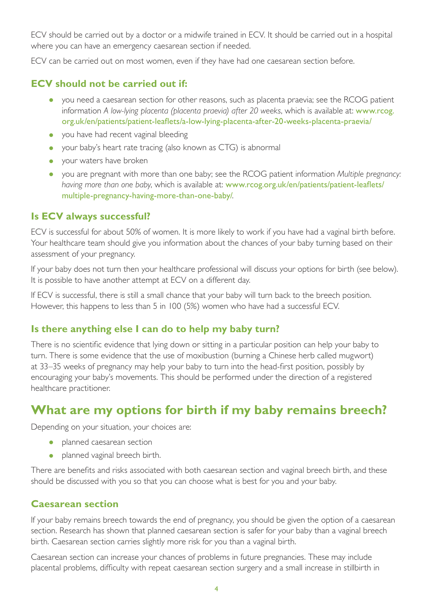ECV should be carried out by a doctor or a midwife trained in ECV. It should be carried out in a hospital where you can have an emergency caesarean section if needed.

ECV can be carried out on most women, even if they have had one caesarean section before.

#### **ECV should not be carried out if:**

- you need a caesarean section for other reasons, such as placenta praevia; see the RCOG patient information *A low-lying placenta (placenta praevia) after 20 weeks*, which is available at: [www.rcog.](https://www.rcog.org.uk/en/patients/patient-leaflets/a-low-lying-placenta-after-20-weeks-placenta-praevia/) [org.uk/en/patients/patient-leaflets/a-low-lying-placenta-after-20-weeks-placenta-praevia/](https://www.rcog.org.uk/en/patients/patient-leaflets/a-low-lying-placenta-after-20-weeks-placenta-praevia/)
- you have had recent vaginal bleeding
- your baby's heart rate tracing (also known as CTG) is abnormal
- your waters have broken
- you are pregnant with more than one baby; see the RCOG patient information *Multiple pregnancy: having more than one baby*, which is available at: [www.rcog.org.uk/en/patients/patient-leaflets/](https://www.rcog.org.uk/en/patients/patient-leaflets/multiple-pregnancy-having-more-than-one-baby/) [multiple-pregnancy-having-more-than-one-baby/](https://www.rcog.org.uk/en/patients/patient-leaflets/multiple-pregnancy-having-more-than-one-baby/).

#### **Is ECV always successful?**

ECV is successful for about 50% of women. It is more likely to work if you have had a vaginal birth before. Your healthcare team should give you information about the chances of your baby turning based on their assessment of your pregnancy.

If your baby does not turn then your healthcare professional will discuss your options for birth (see below). It is possible to have another attempt at ECV on a different day.

If ECV is successful, there is still a small chance that your baby will turn back to the breech position. However, this happens to less than 5 in 100 (5%) women who have had a successful ECV.

#### **Is there anything else I can do to help my baby turn?**

There is no scientific evidence that lying down or sitting in a particular position can help your baby to turn. There is some evidence that the use of moxibustion (burning a Chinese herb called mugwort) at 33–35 weeks of pregnancy may help your baby to turn into the head-first position, possibly by encouraging your baby's movements. This should be performed under the direction of a registered healthcare practitioner.

## **What are my options for birth if my baby remains breech?**

Depending on your situation, your choices are:

- planned caesarean section
- planned vaginal breech birth.

There are benefits and risks associated with both caesarean section and vaginal breech birth, and these should be discussed with you so that you can choose what is best for you and your baby.

#### **Caesarean section**

If your baby remains breech towards the end of pregnancy, you should be given the option of a caesarean section. Research has shown that planned caesarean section is safer for your baby than a vaginal breech birth. Caesarean section carries slightly more risk for you than a vaginal birth.

Caesarean section can increase your chances of problems in future pregnancies. These may include placental problems, difficulty with repeat caesarean section surgery and a small increase in stillbirth in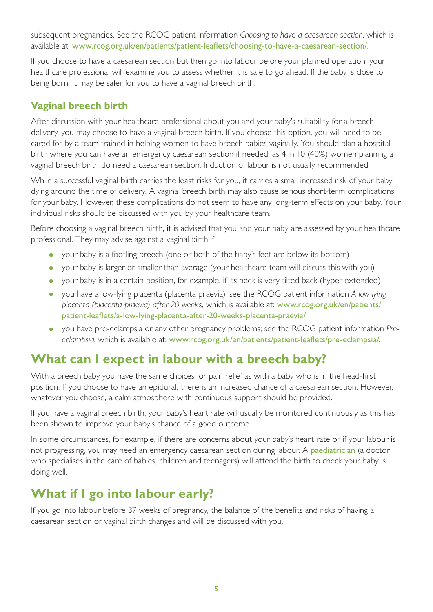subsequent pregnancies. See the RCOG patient information *Choosing to have a caesarean section*, which is available at: [www.rcog.org.uk/en/patients/patient-leaflets/choosing-to-have-a-caesarean-section/](https://www.rcog.org.uk/en/patients/patient-leaflets/choosing-to-have-a-caesarean-section/).

If you choose to have a caesarean section but then go into labour before your planned operation, your healthcare professional will examine you to assess whether it is safe to go ahead. If the baby is close to being born, it may be safer for you to have a vaginal breech birth.

#### **Vaginal breech birth**

After discussion with your healthcare professional about you and your baby's suitability for a breech delivery, you may choose to have a vaginal breech birth. If you choose this option, you will need to be cared for by a team trained in helping women to have breech babies vaginally. You should plan a hospital birth where you can have an emergency caesarean section if needed, as 4 in 10 (40%) women planning a vaginal breech birth do need a caesarean section. Induction of labour is not usually recommended.

While a successful vaginal birth carries the least risks for you, it carries a small increased risk of your baby dying around the time of delivery. A vaginal breech birth may also cause serious short-term complications for your baby. However, these complications do not seem to have any long-term effects on your baby. Your individual risks should be discussed with you by your healthcare team.

Before choosing a vaginal breech birth, it is advised that you and your baby are assessed by your healthcare professional. They may advise against a vaginal birth if:

- your baby is a footling breech (one or both of the baby's feet are below its bottom)
- your baby is larger or smaller than average (your healthcare team will discuss this with you)
- your baby is in a certain position, for example, if its neck is very tilted back (hyper extended)
- you have a low-lying placenta (placenta praevia); see the RCOG patient information *A low-lying placenta (placenta praevia) after 20 weeks*, which is available at: [www.rcog.org.uk/en/patients/](https://www.rcog.org.uk/en/patients/patient-leaflets/a-low-lying-placenta-after-20-weeks-placenta-praevia/) [patient-leaflets/a-low-lying-placenta-after-20-weeks-placenta-praevia/](https://www.rcog.org.uk/en/patients/patient-leaflets/a-low-lying-placenta-after-20-weeks-placenta-praevia/)
- you have pre-eclampsia or any other pregnancy problems; see the RCOG patient information *Preeclampsia*, which is available at: [www.rcog.org.uk/en/patients/patient-leaflets/pre-eclampsia/](https://www.rcog.org.uk/en/patients/patient-leaflets/pre-eclampsia/).

## **What can I expect in labour with a breech baby?**

With a breech baby you have the same choices for pain relief as with a baby who is in the head-first position. If you choose to have an epidural, there is an increased chance of a caesarean section. However, whatever you choose, a calm atmosphere with continuous support should be provided.

If you have a vaginal breech birth, your baby's heart rate will usually be monitored continuously as this has been shown to improve your baby's chance of a good outcome.

In some circumstances, for example, if there are concerns about your baby's heart rate or if your labour is not progressing, you may need an emergency caesarean section during labour. A **paediatrician** (a doctor who specialises in the care of babies, children and teenagers) will attend the birth to check your baby is doing well.

## **What if I go into labour early?**

If you go into labour before 37 weeks of pregnancy, the balance of the benefits and risks of having a caesarean section or vaginal birth changes and will be discussed with you.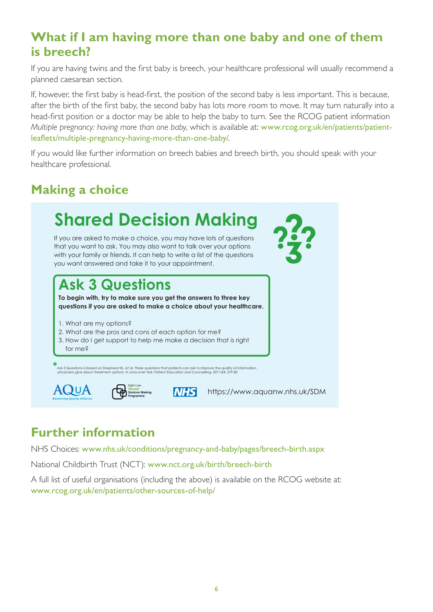## **What if I am having more than one baby and one of them is breech?**

If you are having twins and the first baby is breech, your healthcare professional will usually recommend a<br>planned caesarean section planned caesarean section.

.<br>If, however, the first baby is head-first, the position of the second baby is less important. This is because, after the birth of the first baby, the second baby has lots more room to move. It may turn naturally into a head-first position or a doctor may be able to help the baby to turn. See the RCOG patient information Multiple pregnancy: having more than one baby, which is available at: [www.rcog.org.uk/en/patients/patient](https://www.rcog.org.uk/en/patients/patient-leaflets/multiple-pregnancy-having-more-than-one-baby/)[leaflets/multiple-pregnancy-having-more-than-one-baby/](https://www.rcog.org.uk/en/patients/patient-leaflets/multiple-pregnancy-having-more-than-one-baby/) consultation. They act as a

If you would like further information on breech babies and breech birth, you should speak with your healthcare professional. **Shared Decisional** discussion to consider  $\frac{1}{2}$ 

## **Making a choice**



## **Further information**

NHS Choices: [www.nhs.uk/conditions/pregnancy-and-baby/pages/breech-birth.aspx](http://www.nhs.uk/conditions/pregnancy-and-baby/pages/breech-birth.aspx)

National Childbirth Trust (NCT): [www.nct.org.uk/birth/breech-birth](https://www.nct.org.uk/birth/breech-birth)

A full list of useful organisations (including the above) is available on the RCOG website at: [www.rcog.org.uk/en/patients/other-sources-of-help/](https://www.rcog.org.uk/en/patients/other-sources-of-help/)